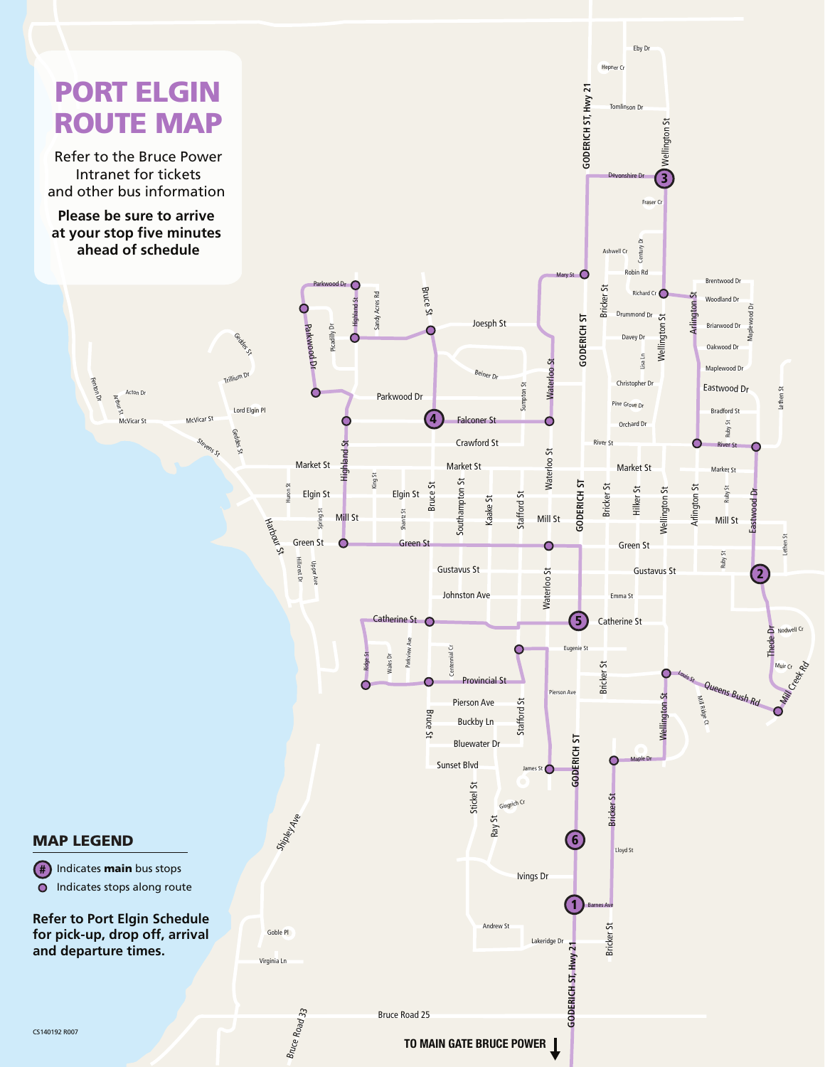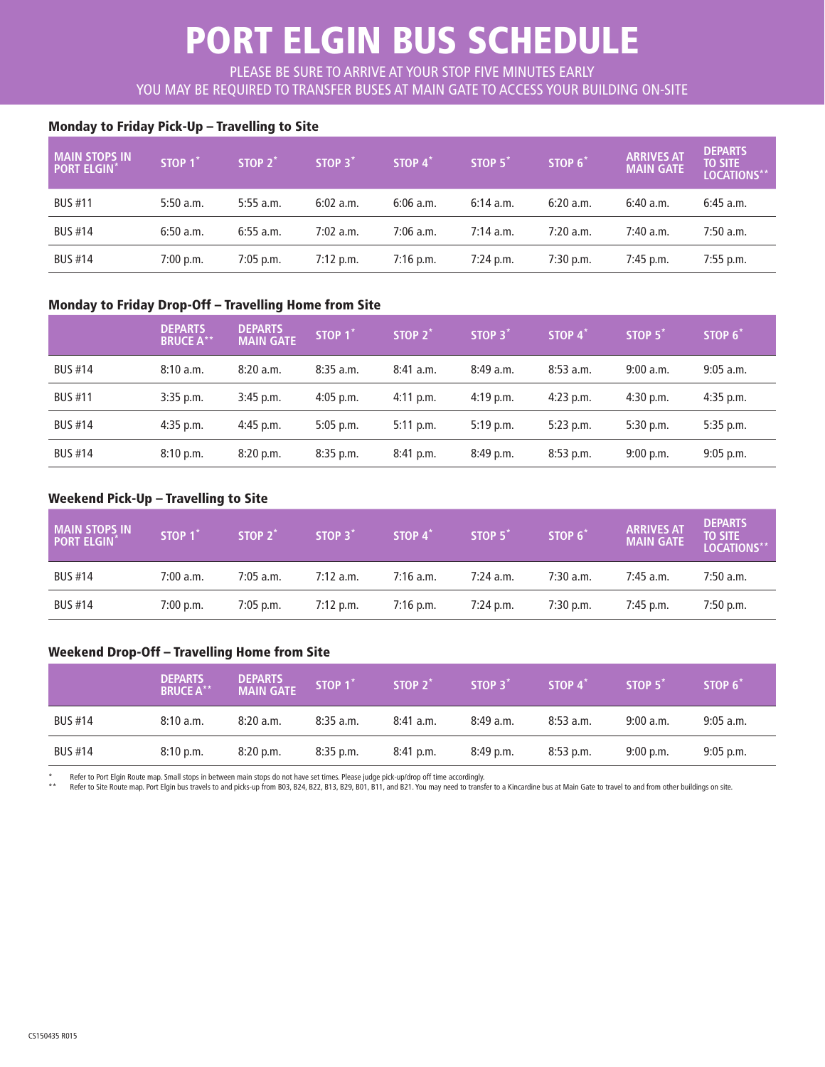# PORT ELGIN BUS SCHEDULE

PLEASE BE SURE TO ARRIVE AT YOUR STOP FIVE MINUTES EARLY YOU MAY BE REQUIRED TO TRANSFER BUSES AT MAIN GATE TO ACCESS YOUR BUILDING ON-SITE

## Monday to Friday Pick-Up – Travelling to Site

| I MAIN STOPS IN<br><b>PORT ELGIN</b> | STOP 1 <sup>*</sup> | STOP 2 <sup>*</sup> | STOP 3*     | STOP $4^*$  | STOP 5 <sup>*</sup> | STOP 6 <sup>*</sup> | <b>ARRIVES AT</b><br><b>MAIN GATE</b> | <b>DEPARTS</b><br><b>TO SITE</b><br>LOCATIONS** |
|--------------------------------------|---------------------|---------------------|-------------|-------------|---------------------|---------------------|---------------------------------------|-------------------------------------------------|
| <b>BUS #11</b>                       | 5:50a.m.            | $5:55$ a.m.         | $6:02$ a.m. | $6:06$ a.m. | 6:14a.m.            | 6:20a.m.            | $6:40$ a.m.                           | $6:45$ a.m.                                     |
| <b>BUS #14</b>                       | 6:50a.m.            | $6:55$ a.m.         | $7:02$ a.m. | $7:06$ a.m. | $7:14$ a.m.         | $7:20$ a.m.         | $7:40$ a.m.                           | $7:50$ a.m.                                     |
| <b>BUS #14</b>                       | 7:00 p.m.           | $7:05$ p.m.         | $7:12$ p.m. | $7:16$ p.m. | $7:24$ p.m.         | $7:30$ p.m.         | $7:45$ p.m.                           | $7:55$ p.m.                                     |

#### Monday to Friday Drop-Off – Travelling Home from Site

|                | <b>DEPARTS</b><br><b>BRUCE A**</b> | <b>DEPARTS</b><br><b>MAIN GATE</b> | STOP 1 <sup>*</sup> | STOP $2^*$  | STOP 3 <sup>*</sup> | STOP 4 <sup>*</sup> | STOP 5 <sup>*</sup> | STOP 6 <sup>*</sup> |
|----------------|------------------------------------|------------------------------------|---------------------|-------------|---------------------|---------------------|---------------------|---------------------|
| <b>BUS #14</b> | 8:10a.m.                           | 8:20a.m.                           | $8:35$ a.m.         | $8:41$ a.m. | 8:49a.m.            | $8:53$ a.m.         | 9:00 a.m.           | $9:05$ a.m.         |
| <b>BUS #11</b> | $3:35$ p.m.                        | $3:45$ p.m.                        | $4:05$ p.m.         | $4:11$ p.m. | $4:19$ p.m.         | $4:23$ p.m.         | $4:30$ p.m.         | $4:35$ p.m.         |
| <b>BUS #14</b> | $4:35$ p.m.                        | $4:45$ p.m.                        | $5:05$ p.m.         | $5:11$ p.m. | $5:19$ p.m.         | $5:23$ p.m.         | $5:30$ p.m.         | $5:35$ p.m.         |
| <b>BUS #14</b> | 8:10 p.m.                          | 8:20 p.m.                          | $8:35$ p.m.         | $8:41$ p.m. | $8:49$ p.m.         | $8:53$ p.m.         | $9:00$ p.m.         | $9:05$ p.m.         |

### Weekend Pick-Up – Travelling to Site

| <b>MAIN STOPS IN</b><br><b>PORT ELGIN</b> | STOP 1    | STOP $2^*$  | STOP 3 <sup>*</sup> | STOP $4^*$  | STOP 5 <sup>*</sup> | STOP 6 <sup>*</sup> | <b>ARRIVES AT</b><br><b>MAIN GATE</b> | <b>DEPARTS</b><br><b>TO SITE</b><br>LOCATIONS** |
|-------------------------------------------|-----------|-------------|---------------------|-------------|---------------------|---------------------|---------------------------------------|-------------------------------------------------|
| <b>BUS #14</b>                            | 7:00a.m.  | $7:05$ a.m. | $7:12$ a.m.         | $7:16$ a.m. | $7:24$ a.m.         | $7:30$ a.m.         | $7:45$ a.m.                           | $7:50$ a.m.                                     |
| <b>BUS #14</b>                            | 7:00 p.m. | $7:05$ p.m. | $7:12$ p.m.         | $7:16$ p.m. | $7:24$ p.m.         | $7:30$ p.m.         | $7:45$ p.m.                           | $7:50$ p.m.                                     |

#### Weekend Drop-Off – Travelling Home from Site

|                | <b>DEPARTS</b><br><b>BRUCE A**</b> | <b>DEPARTS</b><br><b>MAIN GATE</b> | STOP <sub>1</sub> | STOP $2^*$  | STOP 3 <sup>*</sup> | STOP 4 <sup>*</sup> | STOP 5 <sup>*</sup> | STOP 6 <sup>*</sup> |
|----------------|------------------------------------|------------------------------------|-------------------|-------------|---------------------|---------------------|---------------------|---------------------|
| <b>BUS #14</b> | 8:10a.m.                           | 8:20a.m.                           | $8:35$ a.m.       | $8:41$ a.m. | 8:49a.m.            | $8:53$ a.m.         | 9:00 a.m.           | $9:05$ a.m.         |
| <b>BUS #14</b> | 8:10 p.m.                          | $8:20$ p.m.                        | $8:35$ p.m.       | $8:41$ p.m. | $8:49$ p.m.         | $8:53$ p.m.         | $9:00$ p.m.         | $9:05$ p.m.         |

\*Nefer to Port Elgin Route map. Small stops in between main stops do not have set times. Please judge pick-up/drop off time accordingly.<br>\*\* Refer to Site Route map. Port Elgin bus travels to and picks-up from B03, B24, B22